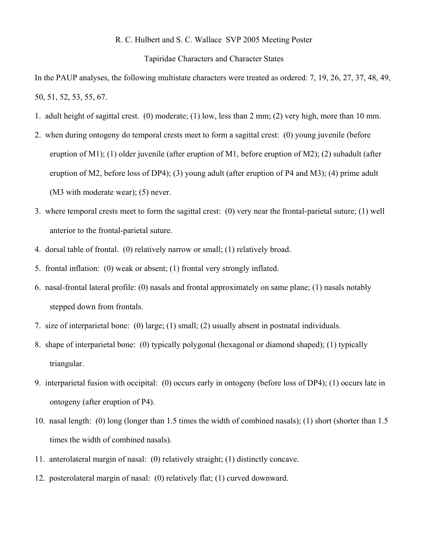## R. C. Hulbert and S. C. Wallace SVP 2005 Meeting Poster

## Tapiridae Characters and Character States

In the PAUP analyses, the following multistate characters were treated as ordered: 7, 19, 26, 27, 37, 48, 49, 50, 51, 52, 53, 55, 67.

- 1. adult height of sagittal crest. (0) moderate; (1) low, less than 2 mm; (2) very high, more than 10 mm.
- 2. when during ontogeny do temporal crests meet to form a sagittal crest: (0) young juvenile (before eruption of M1); (1) older juvenile (after eruption of M1, before eruption of M2); (2) subadult (after eruption of M2, before loss of DP4); (3) young adult (after eruption of P4 and M3); (4) prime adult (M3 with moderate wear); (5) never.
- 3. where temporal crests meet to form the sagittal crest: (0) very near the frontal-parietal suture; (1) well anterior to the frontal-parietal suture.
- 4. dorsal table of frontal. (0) relatively narrow or small; (1) relatively broad.
- 5. frontal inflation: (0) weak or absent; (1) frontal very strongly inflated.
- 6. nasal-frontal lateral profile: (0) nasals and frontal approximately on same plane; (1) nasals notably stepped down from frontals.
- 7. size of interparietal bone: (0) large; (1) small; (2) usually absent in postnatal individuals.
- 8. shape of interparietal bone: (0) typically polygonal (hexagonal or diamond shaped); (1) typically triangular.
- 9. interparietal fusion with occipital: (0) occurs early in ontogeny (before loss of DP4); (1) occurs late in ontogeny (after eruption of P4).
- 10. nasal length: (0) long (longer than 1.5 times the width of combined nasals); (1) short (shorter than 1.5 times the width of combined nasals).
- 11. anterolateral margin of nasal: (0) relatively straight; (1) distinctly concave.
- 12. posterolateral margin of nasal: (0) relatively flat; (1) curved downward.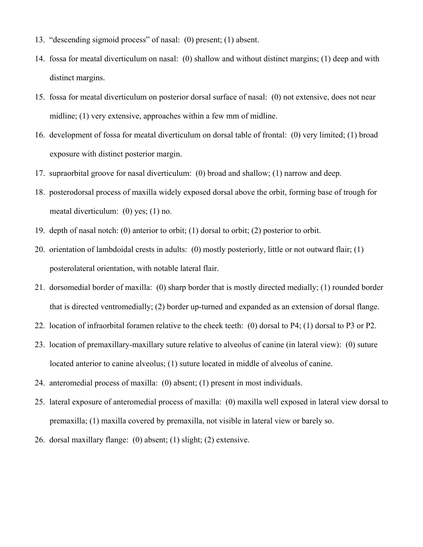- 13. "descending sigmoid process" of nasal: (0) present; (1) absent.
- 14. fossa for meatal diverticulum on nasal: (0) shallow and without distinct margins; (1) deep and with distinct margins.
- 15. fossa for meatal diverticulum on posterior dorsal surface of nasal: (0) not extensive, does not near midline; (1) very extensive, approaches within a few mm of midline.
- 16. development of fossa for meatal diverticulum on dorsal table of frontal: (0) very limited; (1) broad exposure with distinct posterior margin.
- 17. supraorbital groove for nasal diverticulum: (0) broad and shallow; (1) narrow and deep.
- 18. posterodorsal process of maxilla widely exposed dorsal above the orbit, forming base of trough for meatal diverticulum: (0) yes; (1) no.
- 19. depth of nasal notch: (0) anterior to orbit; (1) dorsal to orbit; (2) posterior to orbit.
- 20. orientation of lambdoidal crests in adults: (0) mostly posteriorly, little or not outward flair; (1) posterolateral orientation, with notable lateral flair.
- 21. dorsomedial border of maxilla: (0) sharp border that is mostly directed medially; (1) rounded border that is directed ventromedially; (2) border up-turned and expanded as an extension of dorsal flange.
- 22. location of infraorbital foramen relative to the cheek teeth: (0) dorsal to P4; (1) dorsal to P3 or P2.
- 23. location of premaxillary-maxillary suture relative to alveolus of canine (in lateral view): (0) suture located anterior to canine alveolus; (1) suture located in middle of alveolus of canine.
- 24. anteromedial process of maxilla: (0) absent; (1) present in most individuals.
- 25. lateral exposure of anteromedial process of maxilla: (0) maxilla well exposed in lateral view dorsal to premaxilla; (1) maxilla covered by premaxilla, not visible in lateral view or barely so.
- 26. dorsal maxillary flange: (0) absent; (1) slight; (2) extensive.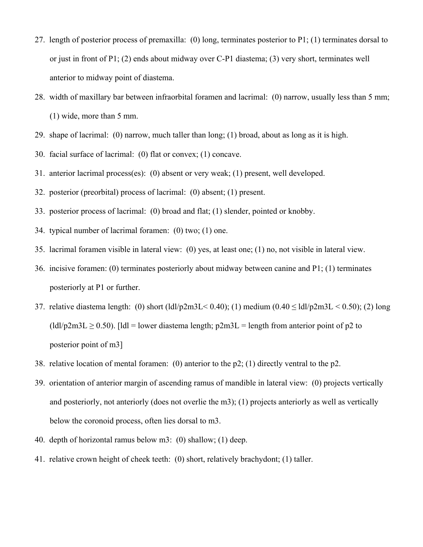- 27. length of posterior process of premaxilla: (0) long, terminates posterior to P1; (1) terminates dorsal to or just in front of P1; (2) ends about midway over C-P1 diastema; (3) very short, terminates well anterior to midway point of diastema.
- 28. width of maxillary bar between infraorbital foramen and lacrimal: (0) narrow, usually less than 5 mm; (1) wide, more than 5 mm.
- 29. shape of lacrimal: (0) narrow, much taller than long; (1) broad, about as long as it is high.
- 30. facial surface of lacrimal: (0) flat or convex; (1) concave.
- 31. anterior lacrimal process(es): (0) absent or very weak; (1) present, well developed.
- 32. posterior (preorbital) process of lacrimal: (0) absent; (1) present.
- 33. posterior process of lacrimal: (0) broad and flat; (1) slender, pointed or knobby.
- 34. typical number of lacrimal foramen: (0) two; (1) one.
- 35. lacrimal foramen visible in lateral view: (0) yes, at least one; (1) no, not visible in lateral view.
- 36. incisive foramen: (0) terminates posteriorly about midway between canine and P1; (1) terminates posteriorly at P1 or further.
- 37. relative diastema length: (0) short (ldl/p2m3L<0.40); (1) medium (0.40  $\leq$  ldl/p2m3L  $\leq$  0.50); (2) long  $\left(\frac{1}{d}\right)$  (ldl/p2m3L  $\geq$  0.50). [ldl = lower diastema length; p2m3L = length from anterior point of p2 to posterior point of m3]
- 38. relative location of mental foramen: (0) anterior to the p2; (1) directly ventral to the p2.
- 39. orientation of anterior margin of ascending ramus of mandible in lateral view: (0) projects vertically and posteriorly, not anteriorly (does not overlie the m3); (1) projects anteriorly as well as vertically below the coronoid process, often lies dorsal to m3.
- 40. depth of horizontal ramus below m3: (0) shallow; (1) deep.
- 41. relative crown height of cheek teeth: (0) short, relatively brachydont; (1) taller.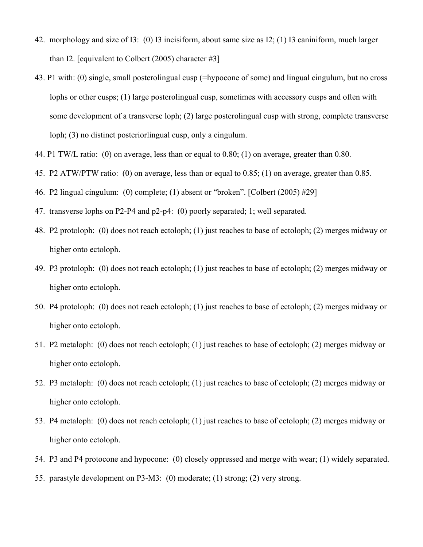- 42. morphology and size of I3: (0) I3 incisiform, about same size as I2; (1) I3 caniniform, much larger than I2. [equivalent to Colbert  $(2005)$  character #3]
- 43. P1 with: (0) single, small posterolingual cusp (=hypocone of some) and lingual cingulum, but no cross lophs or other cusps; (1) large posterolingual cusp, sometimes with accessory cusps and often with some development of a transverse loph; (2) large posterolingual cusp with strong, complete transverse loph; (3) no distinct posteriorlingual cusp, only a cingulum.
- 44. P1 TW/L ratio: (0) on average, less than or equal to 0.80; (1) on average, greater than 0.80.
- 45. P2 ATW/PTW ratio: (0) on average, less than or equal to 0.85; (1) on average, greater than 0.85.
- 46. P2 lingual cingulum: (0) complete; (1) absent or "broken". [Colbert (2005) #29]
- 47. transverse lophs on P2-P4 and p2-p4: (0) poorly separated; 1; well separated.
- 48. P2 protoloph: (0) does not reach ectoloph; (1) just reaches to base of ectoloph; (2) merges midway or higher onto ectoloph.
- 49. P3 protoloph: (0) does not reach ectoloph; (1) just reaches to base of ectoloph; (2) merges midway or higher onto ectoloph.
- 50. P4 protoloph: (0) does not reach ectoloph; (1) just reaches to base of ectoloph; (2) merges midway or higher onto ectoloph.
- 51. P2 metaloph: (0) does not reach ectoloph; (1) just reaches to base of ectoloph; (2) merges midway or higher onto ectoloph.
- 52. P3 metaloph: (0) does not reach ectoloph; (1) just reaches to base of ectoloph; (2) merges midway or higher onto ectoloph.
- 53. P4 metaloph: (0) does not reach ectoloph; (1) just reaches to base of ectoloph; (2) merges midway or higher onto ectoloph.
- 54. P3 and P4 protocone and hypocone: (0) closely oppressed and merge with wear; (1) widely separated.
- 55. parastyle development on P3-M3: (0) moderate; (1) strong; (2) very strong.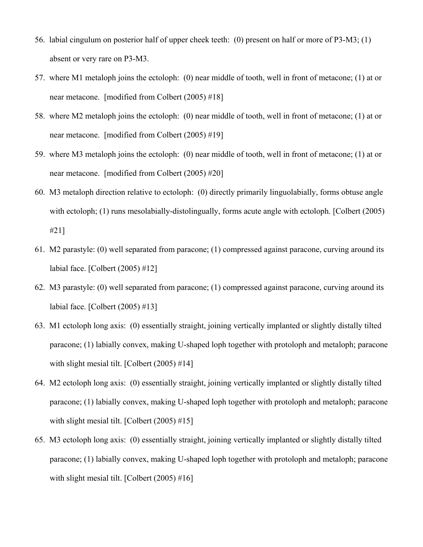- 56. labial cingulum on posterior half of upper cheek teeth: (0) present on half or more of P3-M3; (1) absent or very rare on P3-M3.
- 57. where M1 metaloph joins the ectoloph: (0) near middle of tooth, well in front of metacone; (1) at or near metacone. [modified from Colbert (2005) #18]
- 58. where M2 metaloph joins the ectoloph: (0) near middle of tooth, well in front of metacone; (1) at or near metacone. [modified from Colbert (2005) #19]
- 59. where M3 metaloph joins the ectoloph: (0) near middle of tooth, well in front of metacone; (1) at or near metacone. [modified from Colbert (2005) #20]
- 60. M3 metaloph direction relative to ectoloph: (0) directly primarily linguolabially, forms obtuse angle with ectoloph; (1) runs mesolabially-distolingually, forms acute angle with ectoloph. [Colbert (2005) #21]
- 61. M2 parastyle: (0) well separated from paracone; (1) compressed against paracone, curving around its labial face. [Colbert (2005) #12]
- 62. M3 parastyle: (0) well separated from paracone; (1) compressed against paracone, curving around its labial face. [Colbert (2005) #13]
- 63. M1 ectoloph long axis: (0) essentially straight, joining vertically implanted or slightly distally tilted paracone; (1) labially convex, making U-shaped loph together with protoloph and metaloph; paracone with slight mesial tilt. [Colbert (2005) #14]
- 64. M2 ectoloph long axis: (0) essentially straight, joining vertically implanted or slightly distally tilted paracone; (1) labially convex, making U-shaped loph together with protoloph and metaloph; paracone with slight mesial tilt. [Colbert (2005) #15]
- 65. M3 ectoloph long axis: (0) essentially straight, joining vertically implanted or slightly distally tilted paracone; (1) labially convex, making U-shaped loph together with protoloph and metaloph; paracone with slight mesial tilt. [Colbert (2005) #16]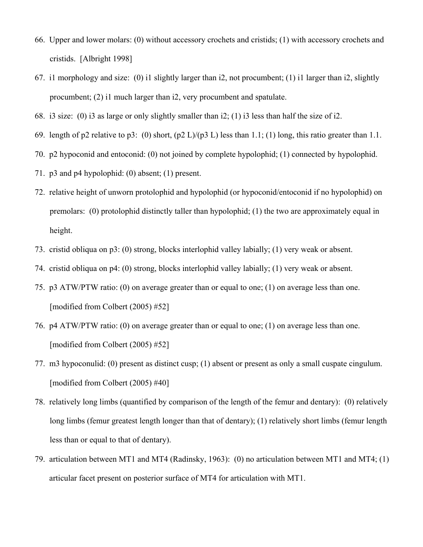- 66. Upper and lower molars: (0) without accessory crochets and cristids; (1) with accessory crochets and cristids. [Albright 1998]
- 67. i1 morphology and size: (0) i1 slightly larger than i2, not procumbent; (1) i1 larger than i2, slightly procumbent; (2) i1 much larger than i2, very procumbent and spatulate.
- 68. i3 size: (0) i3 as large or only slightly smaller than i2; (1) i3 less than half the size of i2.
- 69. length of p2 relative to p3: (0) short, (p2 L)/(p3 L) less than 1.1; (1) long, this ratio greater than 1.1.
- 70. p2 hypoconid and entoconid: (0) not joined by complete hypolophid; (1) connected by hypolophid.
- 71. p3 and p4 hypolophid: (0) absent; (1) present.
- 72. relative height of unworn protolophid and hypolophid (or hypoconid/entoconid if no hypolophid) on premolars: (0) protolophid distinctly taller than hypolophid; (1) the two are approximately equal in height.
- 73. cristid obliqua on p3: (0) strong, blocks interlophid valley labially; (1) very weak or absent.
- 74. cristid obliqua on p4: (0) strong, blocks interlophid valley labially; (1) very weak or absent.
- 75. p3 ATW/PTW ratio: (0) on average greater than or equal to one; (1) on average less than one. [modified from Colbert (2005) #52]
- 76. p4 ATW/PTW ratio: (0) on average greater than or equal to one; (1) on average less than one. [modified from Colbert (2005) #52]
- 77. m3 hypoconulid: (0) present as distinct cusp; (1) absent or present as only a small cuspate cingulum. [modified from Colbert (2005) #40]
- 78. relatively long limbs (quantified by comparison of the length of the femur and dentary): (0) relatively long limbs (femur greatest length longer than that of dentary); (1) relatively short limbs (femur length less than or equal to that of dentary).
- 79. articulation between MT1 and MT4 (Radinsky, 1963): (0) no articulation between MT1 and MT4; (1) articular facet present on posterior surface of MT4 for articulation with MT1.